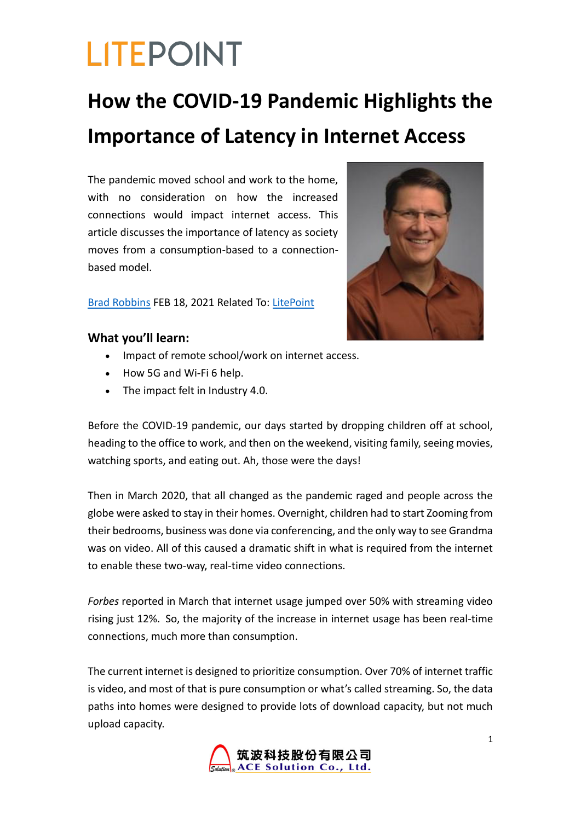### **How the COVID-19 Pandemic Highlights the Importance of Latency in Internet Access**

The pandemic moved school and work to the home, with no consideration on how the increased connections would impact internet access. This article discusses the importance of latency as society moves from a consumption-based to a connectionbased model.

Brad Robbins FEB 18, 2021 Related To: LitePoint



### **What you'll learn:**

- Impact of remote school/work on internet access.
- How 5G and Wi-Fi 6 help.
- The impact felt in Industry 4.0.

Before the COVID-19 pandemic, our days started by dropping children off at school, heading to the office to work, and then on the weekend, visiting family, seeing movies, watching sports, and eating out. Ah, those were the days!

Then in March 2020, that all changed as the pandemic raged and people across the globe were asked to stay in their homes. Overnight, children had to start Zooming from their bedrooms, business was done via conferencing, and the only way to see Grandma was on video. All of this caused a dramatic shift in what is required from the internet to enable these two-way, real-time video connections.

*Forbes* reported in March that internet usage jumped over 50% with streaming video rising just 12%. So, the majority of the increase in internet usage has been real-time connections, much more than consumption.

The current internet is designed to prioritize consumption. Over 70% of internet traffic is video, and most of that is pure consumption or what's called streaming. So, the data paths into homes were designed to provide lots of download capacity, but not much upload capacity.

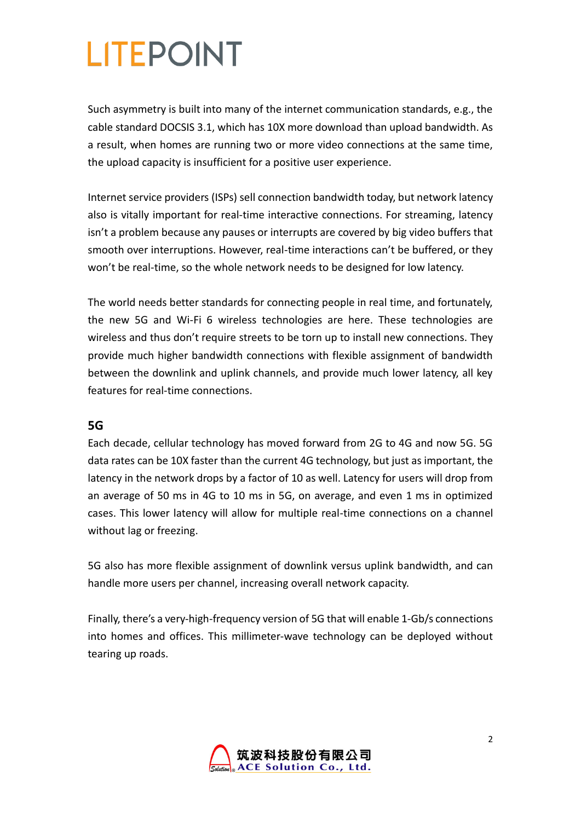Such asymmetry is built into many of the internet communication standards, e.g., the cable standard DOCSIS 3.1, which has 10X more download than upload bandwidth. As a result, when homes are running two or more video connections at the same time, the upload capacity is insufficient for a positive user experience.

Internet service providers (ISPs) sell connection bandwidth today, but network latency also is vitally important for real-time interactive connections. For streaming, latency isn't a problem because any pauses or interrupts are covered by big video buffers that smooth over interruptions. However, real-time interactions can't be buffered, or they won't be real-time, so the whole network needs to be designed for low latency.

The world needs better standards for connecting people in real time, and fortunately, the new 5G and Wi-Fi 6 wireless technologies are here. These technologies are wireless and thus don't require streets to be torn up to install new connections. They provide much higher bandwidth connections with flexible assignment of bandwidth between the downlink and uplink channels, and provide much lower latency, all key features for real-time connections.

#### **5G**

Each decade, cellular technology has moved forward from 2G to 4G and now 5G. 5G data rates can be 10X faster than the current 4G technology, but just as important, the latency in the network drops by a factor of 10 as well. Latency for users will drop from an average of 50 ms in 4G to 10 ms in 5G, on average, and even 1 ms in optimized cases. This lower latency will allow for multiple real-time connections on a channel without lag or freezing.

5G also has more flexible assignment of downlink versus uplink bandwidth, and can handle more users per channel, increasing overall network capacity.

Finally, there's a very-high-frequency version of 5G that will enable 1-Gb/s connections into homes and offices. This millimeter-wave technology can be deployed without tearing up roads.

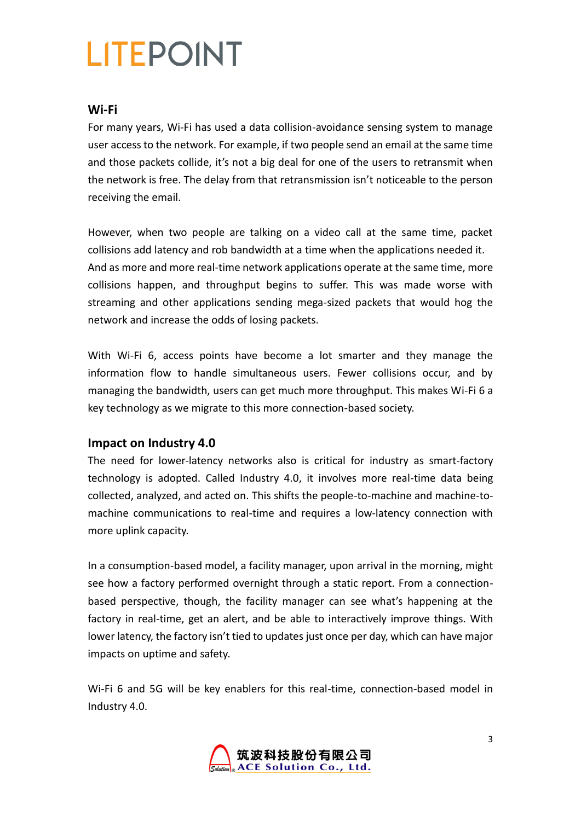### **Wi-Fi**

For many years, Wi-Fi has used a data collision-avoidance sensing system to manage user access to the network. For example, if two people send an email at the same time and those packets collide, it's not a big deal for one of the users to retransmit when the network is free. The delay from that retransmission isn't noticeable to the person receiving the email.

However, when two people are talking on a video call at the same time, packet collisions add latency and rob bandwidth at a time when the applications needed it. And as more and more real-time network applications operate at the same time, more collisions happen, and throughput begins to suffer. This was made worse with streaming and other applications sending mega-sized packets that would hog the network and increase the odds of losing packets.

With Wi-Fi 6, access points have become a lot smarter and they manage the information flow to handle simultaneous users. Fewer collisions occur, and by managing the bandwidth, users can get much more throughput. This makes Wi-Fi 6 a key technology as we migrate to this more connection-based society.

#### **Impact on Industry 4.0**

The need for lower-latency networks also is critical for industry as smart-factory technology is adopted. Called Industry 4.0, it involves more real-time data being collected, analyzed, and acted on. This shifts the people-to-machine and machine-tomachine communications to real-time and requires a low-latency connection with more uplink capacity.

In a consumption-based model, a facility manager, upon arrival in the morning, might see how a factory performed overnight through a static report. From a connectionbased perspective, though, the facility manager can see what's happening at the factory in real-time, get an alert, and be able to interactively improve things. With lower latency, the factory isn't tied to updates just once per day, which can have major impacts on uptime and safety.

Wi-Fi 6 and 5G will be key enablers for this real-time, connection-based model in Industry 4.0.